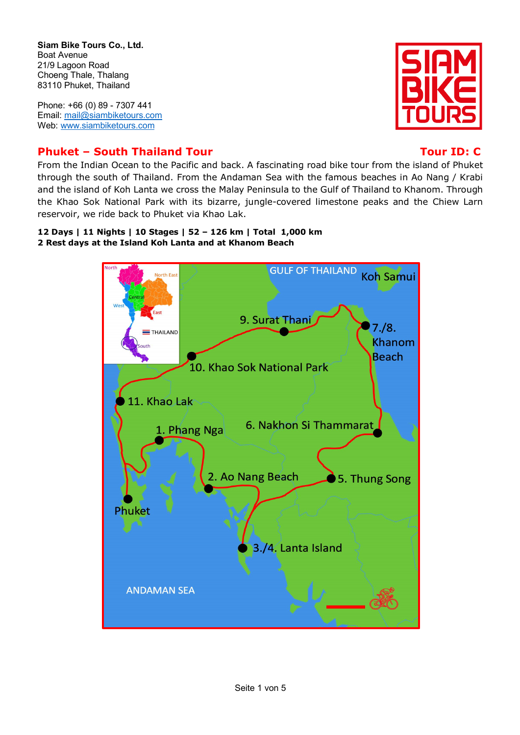**Siam Bike Tours Co., Ltd.**  Boat Avenue 21/9 Lagoon Road Choeng Thale, Thalang 83110 Phuket, Thailand

Phone: +66 (0) 89 - 7307 441 Email: mail@siambiketours.com Web: www.siambiketours.com

# **Phuket – South Thailand Tour Tour ID: C**

From the Indian Ocean to the Pacific and back. A fascinating road bike tour from the island of Phuket through the south of Thailand. From the Andaman Sea with the famous beaches in Ao Nang / Krabi and the island of Koh Lanta we cross the Malay Peninsula to the Gulf of Thailand to Khanom. Through the Khao Sok National Park with its bizarre, jungle-covered limestone peaks and the Chiew Larn reservoir, we ride back to Phuket via Khao Lak.

## **12 Days | 11 Nights | 10 Stages | 52 – 126 km | Total 1,000 km 2 Rest days at the Island Koh Lanta and at Khanom Beach**





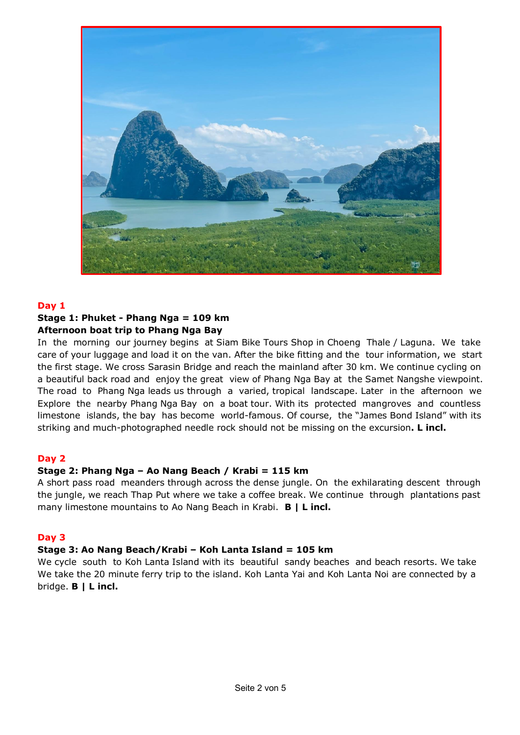

## **Day 1**

# **Stage 1: Phuket - Phang Nga = 109 km Afternoon boat trip to Phang Nga Bay**

In the morning our journey begins at Siam Bike Tours Shop in Choeng Thale / Laguna. We take care of your luggage and load it on the van. After the bike fitting and the tour information, we start the first stage. We cross Sarasin Bridge and reach the mainland after 30 km. We continue cycling on a beautiful back road and enjoy the great view of Phang Nga Bay at the Samet Nangshe viewpoint. The road to Phang Nga leads us through a varied, tropical landscape. Later in the afternoon we Explore the nearby Phang Nga Bay on a boat tour. With its protected mangroves and countless limestone islands, the bay has become world-famous. Of course, the "James Bond Island" with its striking and much-photographed needle rock should not be missing on the excursion**. L incl.**

# **Day 2**

# **Stage 2: Phang Nga – Ao Nang Beach / Krabi = 115 km**

A short pass road meanders through across the dense jungle. On the exhilarating descent through the jungle, we reach Thap Put where we take a coffee break. We continue through plantations past many limestone mountains to Ao Nang Beach in Krabi. **B | L incl.**

# **Day 3**

# **Stage 3: Ao Nang Beach/Krabi – Koh Lanta Island = 105 km**

We cycle south to Koh Lanta Island with its beautiful sandy beaches and beach resorts. We take We take the 20 minute ferry trip to the island. Koh Lanta Yai and Koh Lanta Noi are connected by a bridge. **B | L incl.**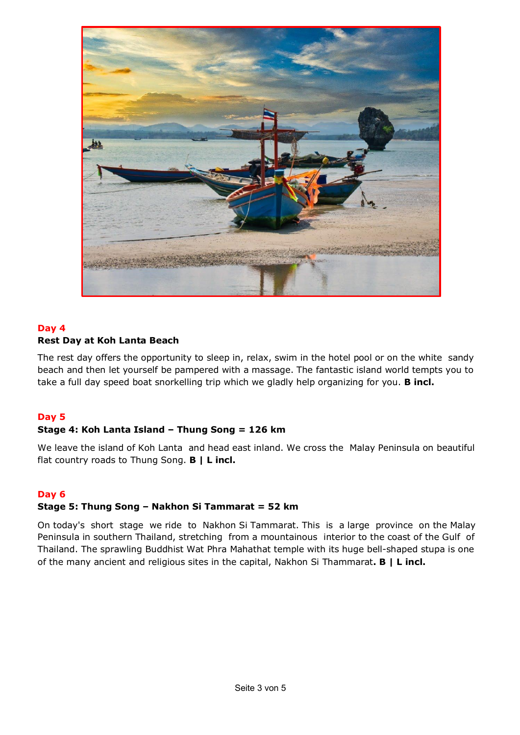

# **Day 4 Rest Day at Koh Lanta Beach**

The rest day offers the opportunity to sleep in, relax, swim in the hotel pool or on the white sandy beach and then let yourself be pampered with a massage. The fantastic island world tempts you to take a full day speed boat snorkelling trip which we gladly help organizing for you. **B incl.**

# **Day 5**

# **Stage 4: Koh Lanta Island – Thung Song = 126 km**

We leave the island of Koh Lanta and head east inland. We cross the Malay Peninsula on beautiful flat country roads to Thung Song. **B | L incl.**

# **Day 6**

# **Stage 5: Thung Song – Nakhon Si Tammarat = 52 km**

On today's short stage we ride to Nakhon Si Tammarat. This is a large province on the Malay Peninsula in southern Thailand, stretching from a mountainous interior to the coast of the Gulf of Thailand. The sprawling Buddhist Wat Phra Mahathat temple with its huge bell-shaped stupa is one of the many ancient and religious sites in the capital, Nakhon Si Thammarat**. B | L incl.**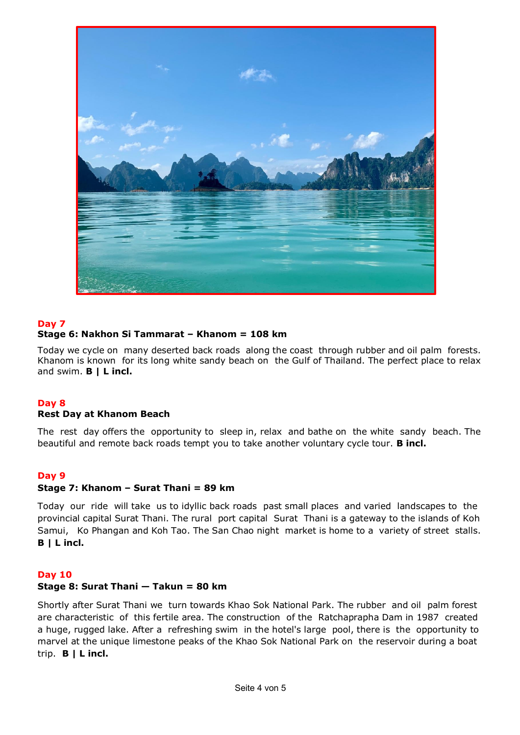

# **Day 7 Stage 6: Nakhon Si Tammarat – Khanom = 108 km**

Today we cycle on many deserted back roads along the coast through rubber and oil palm forests. Khanom is known for its long white sandy beach on the Gulf of Thailand. The perfect place to relax and swim. **B | L incl.**

# **Day 8**

## **Rest Day at Khanom Beach**

The rest day offers the opportunity to sleep in, relax and bathe on the white sandy beach. The beautiful and remote back roads tempt you to take another voluntary cycle tour. **B incl.**

## **Day 9**

## **Stage 7: Khanom – Surat Thani = 89 km**

Today our ride will take us to idyllic back roads past small places and varied landscapes to the provincial capital Surat Thani. The rural port capital Surat Thani is a gateway to the islands of Koh Samui, Ko Phangan and Koh Tao. The San Chao night market is home to a variety of street stalls. **B | L incl.**

## **Day 10**

## **Stage 8: Surat Thani — Takun = 80 km**

Shortly after Surat Thani we turn towards Khao Sok National Park. The rubber and oil palm forest are characteristic of this fertile area. The construction of the Ratchaprapha Dam in 1987 created a huge, rugged lake. After a refreshing swim in the hotel's large pool, there is the opportunity to marvel at the unique limestone peaks of the Khao Sok National Park on the reservoir during a boat trip. **B | L incl.**